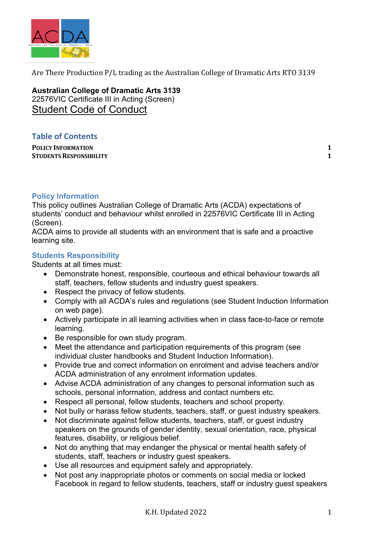

Are There Production  $P/L$  trading as the Australian College of Dramatic Arts RTO 3139

**Australian College of Dramatic Arts 3139** 22576VIC Certificate III in Acting (Screen) Student Code of Conduct

## **Table of Contents**

**POLICY INFORMATION 1 STUDENTS RESPONSIBILITY 1** 

## **Policy Information**

This policy outlines Australian College of Dramatic Arts (ACDA) expectations of students' conduct and behaviour whilst enrolled in 22576VIC Certificate III in Acting (Screen).

ACDA aims to provide all students with an environment that is safe and a proactive learning site.

## **Students Responsibility**

Students at all times must:

- Demonstrate honest, responsible, courteous and ethical behaviour towards all staff, teachers, fellow students and industry guest speakers.
- Respect the privacy of fellow students.
- Comply with all ACDA's rules and regulations (see Student Induction Information on web page).
- Actively participate in all learning activities when in class face-to-face or remote learning.
- Be responsible for own study program.
- Meet the attendance and participation requirements of this program (see individual cluster handbooks and Student Induction Information).
- Provide true and correct information on enrolment and advise teachers and/or ACDA administration of any enrolment information updates.
- Advise ACDA administration of any changes to personal information such as schools, personal information, address and contact numbers etc.
- Respect all personal, fellow students, teachers and school property.
- Not bully or harass fellow students, teachers, staff, or quest industry speakers.
- Not discriminate against fellow students, teachers, staff, or guest industry speakers on the grounds of gender identity, sexual orientation, race, physical features, disability, or religious belief.
- Not do anything that may endanger the physical or mental health safety of students, staff, teachers or industry guest speakers.
- Use all resources and equipment safely and appropriately.
- Not post any inappropriate photos or comments on social media or locked Facebook in regard to fellow students, teachers, staff or industry guest speakers